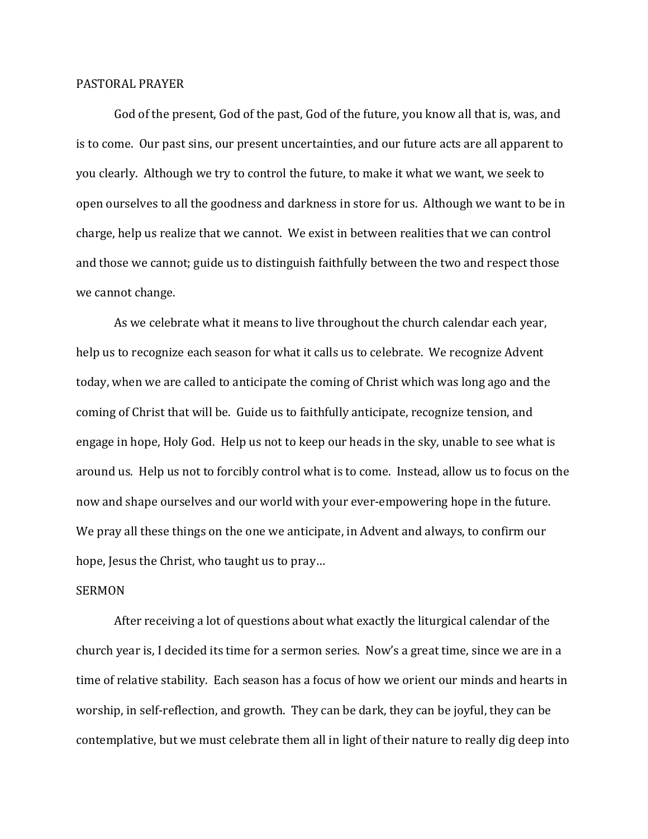## PASTORAL PRAYER

 God of the present, God of the past, God of the future, you know all that is, was, and is to come. Our past sins, our present uncertainties, and our future acts are all apparent to you clearly. Although we try to control the future, to make it what we want, we seek to open ourselves to all the goodness and darkness in store for us. Although we want to be in charge, help us realize that we cannot. We exist in between realities that we can control and those we cannot; guide us to distinguish faithfully between the two and respect those we cannot change.

 As we celebrate what it means to live throughout the church calendar each year, help us to recognize each season for what it calls us to celebrate. We recognize Advent today, when we are called to anticipate the coming of Christ which was long ago and the coming of Christ that will be. Guide us to faithfully anticipate, recognize tension, and engage in hope, Holy God. Help us not to keep our heads in the sky, unable to see what is around us. Help us not to forcibly control what is to come. Instead, allow us to focus on the now and shape ourselves and our world with your ever-empowering hope in the future. We pray all these things on the one we anticipate, in Advent and always, to confirm our hope, Jesus the Christ, who taught us to pray…

## SERMON

 After receiving a lot of questions about what exactly the liturgical calendar of the church year is, I decided its time for a sermon series. Now's a great time, since we are in a time of relative stability. Each season has a focus of how we orient our minds and hearts in worship, in self-reflection, and growth. They can be dark, they can be joyful, they can be contemplative, but we must celebrate them all in light of their nature to really dig deep into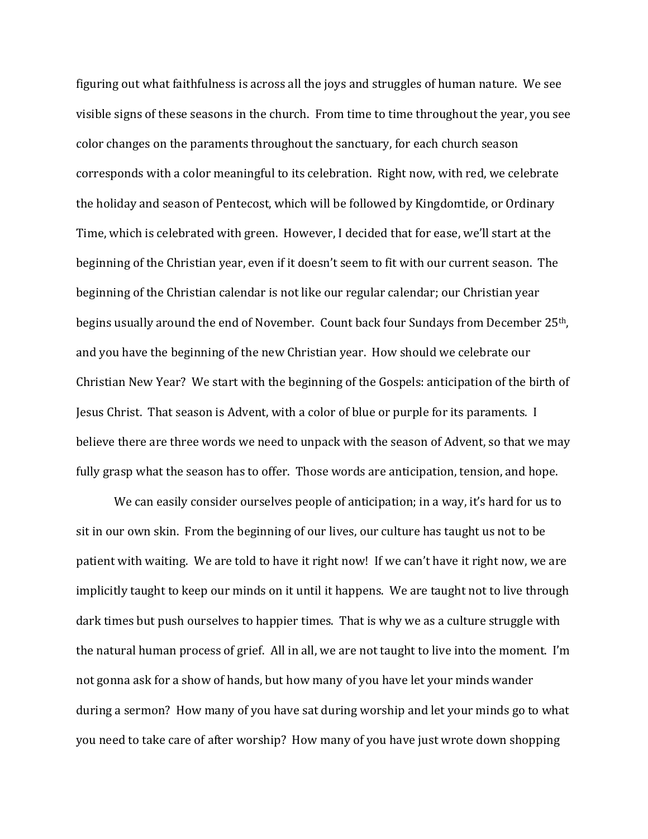figuring out what faithfulness is across all the joys and struggles of human nature. We see visible signs of these seasons in the church. From time to time throughout the year, you see color changes on the paraments throughout the sanctuary, for each church season corresponds with a color meaningful to its celebration. Right now, with red, we celebrate the holiday and season of Pentecost, which will be followed by Kingdomtide, or Ordinary Time, which is celebrated with green. However, I decided that for ease, we'll start at the beginning of the Christian year, even if it doesn't seem to fit with our current season. The beginning of the Christian calendar is not like our regular calendar; our Christian year begins usually around the end of November. Count back four Sundays from December 25th, and you have the beginning of the new Christian year. How should we celebrate our Christian New Year? We start with the beginning of the Gospels: anticipation of the birth of Jesus Christ. That season is Advent, with a color of blue or purple for its paraments. I believe there are three words we need to unpack with the season of Advent, so that we may fully grasp what the season has to offer. Those words are anticipation, tension, and hope.

 We can easily consider ourselves people of anticipation; in a way, it's hard for us to sit in our own skin. From the beginning of our lives, our culture has taught us not to be patient with waiting. We are told to have it right now! If we can't have it right now, we are implicitly taught to keep our minds on it until it happens. We are taught not to live through dark times but push ourselves to happier times. That is why we as a culture struggle with the natural human process of grief. All in all, we are not taught to live into the moment. I'm not gonna ask for a show of hands, but how many of you have let your minds wander during a sermon? How many of you have sat during worship and let your minds go to what you need to take care of after worship? How many of you have just wrote down shopping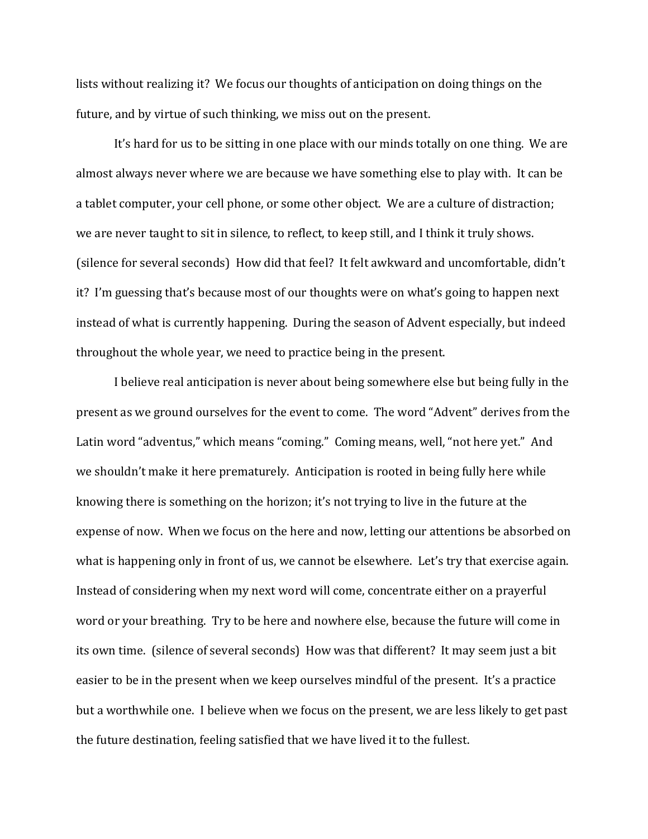lists without realizing it? We focus our thoughts of anticipation on doing things on the future, and by virtue of such thinking, we miss out on the present.

It's hard for us to be sitting in one place with our minds totally on one thing. We are almost always never where we are because we have something else to play with. It can be a tablet computer, your cell phone, or some other object. We are a culture of distraction; we are never taught to sit in silence, to reflect, to keep still, and I think it truly shows. (silence for several seconds) How did that feel? It felt awkward and uncomfortable, didn't it? I'm guessing that's because most of our thoughts were on what's going to happen next instead of what is currently happening. During the season of Advent especially, but indeed throughout the whole year, we need to practice being in the present.

I believe real anticipation is never about being somewhere else but being fully in the present as we ground ourselves for the event to come. The word "Advent" derives from the Latin word "adventus," which means "coming." Coming means, well, "not here yet." And we shouldn't make it here prematurely. Anticipation is rooted in being fully here while knowing there is something on the horizon; it's not trying to live in the future at the expense of now. When we focus on the here and now, letting our attentions be absorbed on what is happening only in front of us, we cannot be elsewhere. Let's try that exercise again. Instead of considering when my next word will come, concentrate either on a prayerful word or your breathing. Try to be here and nowhere else, because the future will come in its own time. (silence of several seconds) How was that different? It may seem just a bit easier to be in the present when we keep ourselves mindful of the present. It's a practice but a worthwhile one. I believe when we focus on the present, we are less likely to get past the future destination, feeling satisfied that we have lived it to the fullest.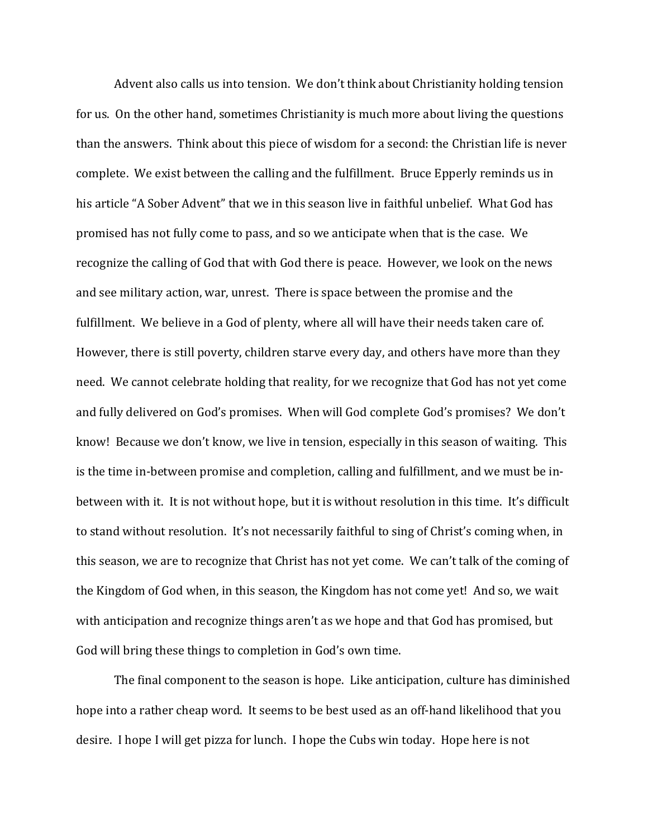Advent also calls us into tension. We don't think about Christianity holding tension for us. On the other hand, sometimes Christianity is much more about living the questions than the answers. Think about this piece of wisdom for a second: the Christian life is never complete. We exist between the calling and the fulfillment. Bruce Epperly reminds us in his article "A Sober Advent" that we in this season live in faithful unbelief. What God has promised has not fully come to pass, and so we anticipate when that is the case. We recognize the calling of God that with God there is peace. However, we look on the news and see military action, war, unrest. There is space between the promise and the fulfillment. We believe in a God of plenty, where all will have their needs taken care of. However, there is still poverty, children starve every day, and others have more than they need. We cannot celebrate holding that reality, for we recognize that God has not yet come and fully delivered on God's promises. When will God complete God's promises? We don't know! Because we don't know, we live in tension, especially in this season of waiting. This is the time in-between promise and completion, calling and fulfillment, and we must be inbetween with it. It is not without hope, but it is without resolution in this time. It's difficult to stand without resolution. It's not necessarily faithful to sing of Christ's coming when, in this season, we are to recognize that Christ has not yet come. We can't talk of the coming of the Kingdom of God when, in this season, the Kingdom has not come yet! And so, we wait with anticipation and recognize things aren't as we hope and that God has promised, but God will bring these things to completion in God's own time.

 The final component to the season is hope. Like anticipation, culture has diminished hope into a rather cheap word. It seems to be best used as an off-hand likelihood that you desire. I hope I will get pizza for lunch. I hope the Cubs win today. Hope here is not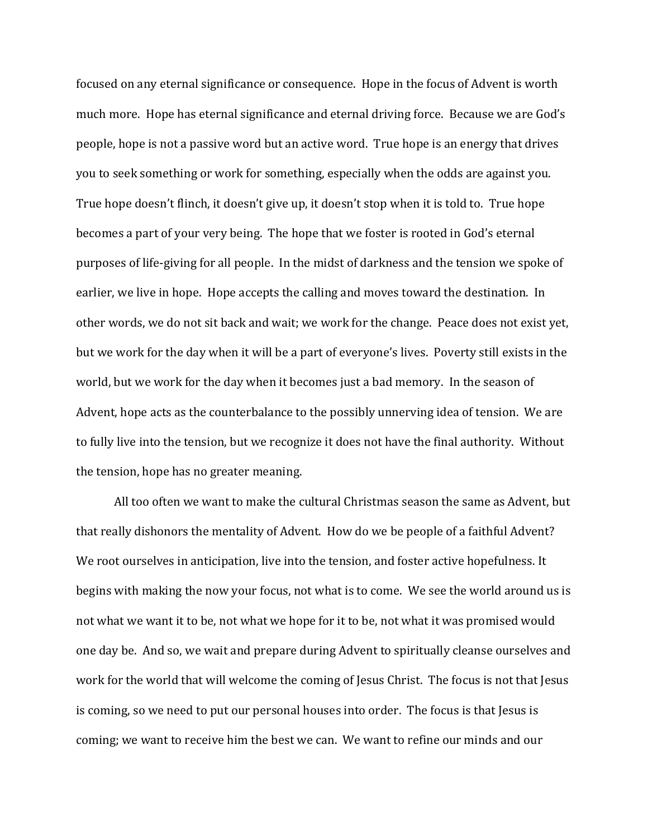focused on any eternal significance or consequence. Hope in the focus of Advent is worth much more. Hope has eternal significance and eternal driving force. Because we are God's people, hope is not a passive word but an active word. True hope is an energy that drives you to seek something or work for something, especially when the odds are against you. True hope doesn't flinch, it doesn't give up, it doesn't stop when it is told to. True hope becomes a part of your very being. The hope that we foster is rooted in God's eternal purposes of life-giving for all people. In the midst of darkness and the tension we spoke of earlier, we live in hope. Hope accepts the calling and moves toward the destination. In other words, we do not sit back and wait; we work for the change. Peace does not exist yet, but we work for the day when it will be a part of everyone's lives. Poverty still exists in the world, but we work for the day when it becomes just a bad memory. In the season of Advent, hope acts as the counterbalance to the possibly unnerving idea of tension. We are to fully live into the tension, but we recognize it does not have the final authority. Without the tension, hope has no greater meaning.

 All too often we want to make the cultural Christmas season the same as Advent, but that really dishonors the mentality of Advent. How do we be people of a faithful Advent? We root ourselves in anticipation, live into the tension, and foster active hopefulness. It begins with making the now your focus, not what is to come. We see the world around us is not what we want it to be, not what we hope for it to be, not what it was promised would one day be. And so, we wait and prepare during Advent to spiritually cleanse ourselves and work for the world that will welcome the coming of Jesus Christ. The focus is not that Jesus is coming, so we need to put our personal houses into order. The focus is that Jesus is coming; we want to receive him the best we can. We want to refine our minds and our